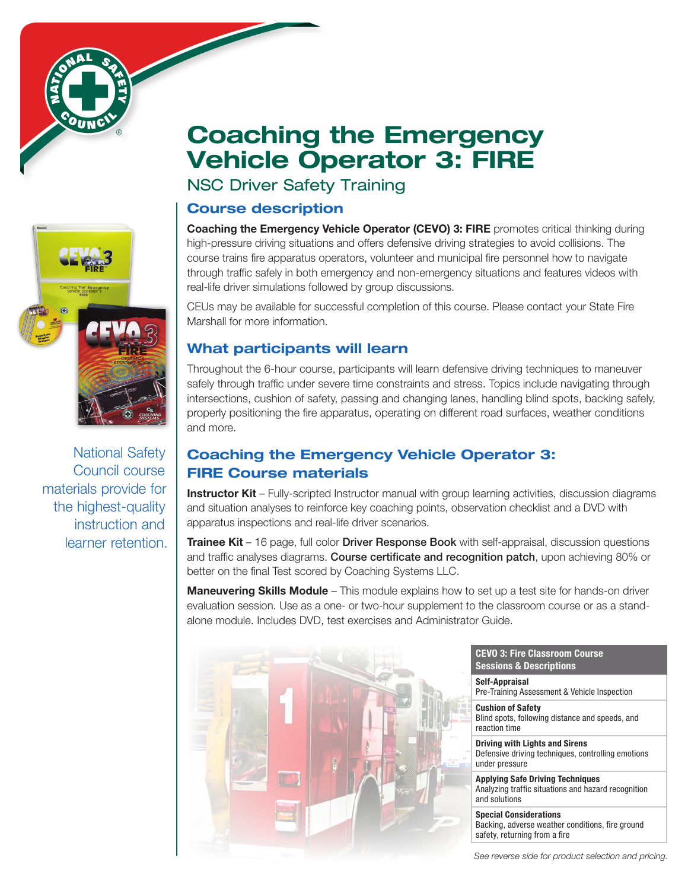# Course description NSC Driver Safety Training

Coaching the Emergency Vehicle Operator (CEVO) 3: FIRE promotes critical thinking during high-pressure driving situations and offers defensive driving strategies to avoid collisions. The course trains fire apparatus operators, volunteer and municipal fire personnel how to navigate through traffic safely in both emergency and non-emergency situations and features videos with real-life driver simulations followed by group discussions.

CEUs may be available for successful completion of this course. Please contact your State Fire Marshall for more information.

### What participants will learn

Throughout the 6-hour course, participants will learn defensive driving techniques to maneuver safely through traffic under severe time constraints and stress. Topics include navigating through intersections, cushion of safety, passing and changing lanes, handling blind spots, backing safely, properly positioning the fire apparatus, operating on different road surfaces, weather conditions and more.

### Coaching the Emergency Vehicle Operator 3: FIRE Course materials

Instructor Kit - Fully-scripted Instructor manual with group learning activities, discussion diagrams and situation analyses to reinforce key coaching points, observation checklist and a DVD with apparatus inspections and real-life driver scenarios.

**Trainee Kit** – 16 page, full color **Driver Response Book** with self-appraisal, discussion questions and traffic analyses diagrams. Course certificate and recognition patch, upon achieving 80% or better on the final Test scored by Coaching Systems LLC.

Maneuvering Skills Module - This module explains how to set up a test site for hands-on driver evaluation session. Use as a one- or two-hour supplement to the classroom course or as a standalone module. Includes DVD, test exercises and Administrator Guide.



CEVO 3: Fire Classroom Course Sessions & Descriptions

Self-Appraisal Pre-Training Assessment & Vehicle Inspection

Cushion of Safety Blind spots, following distance and speeds, and reaction time

Driving with Lights and Sirens Defensive driving techniques, controlling emotions under pressure

Applying Safe Driving Techniques Analyzing traffic situations and hazard recognition and solutions

Special Considerations Backing, adverse weather conditions, fire ground safety, returning from a fire

*See reverse side for product selection and pricing.*



## Coaching the Emergency Vehicle Operator 3: FIRE